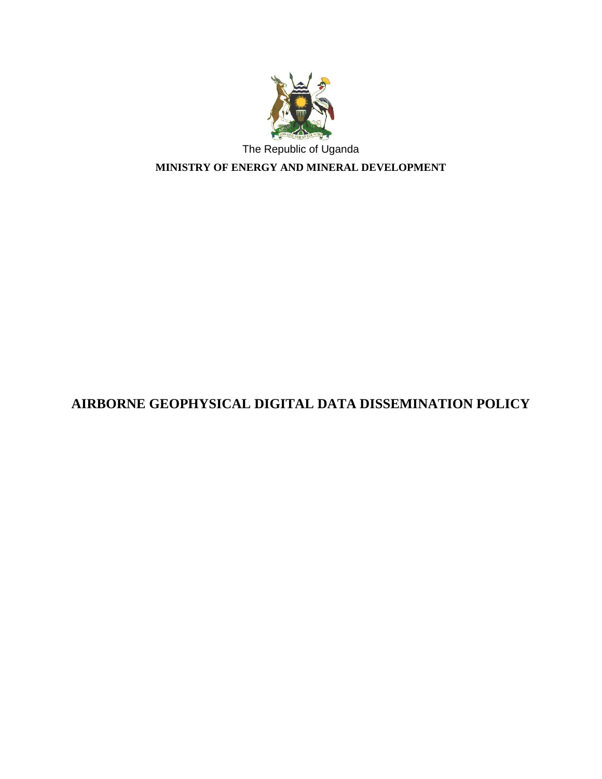

**MINISTRY OF ENERGY AND MINERAL DEVELOPMENT**

# **AIRBORNE GEOPHYSICAL DIGITAL DATA DISSEMINATION POLICY**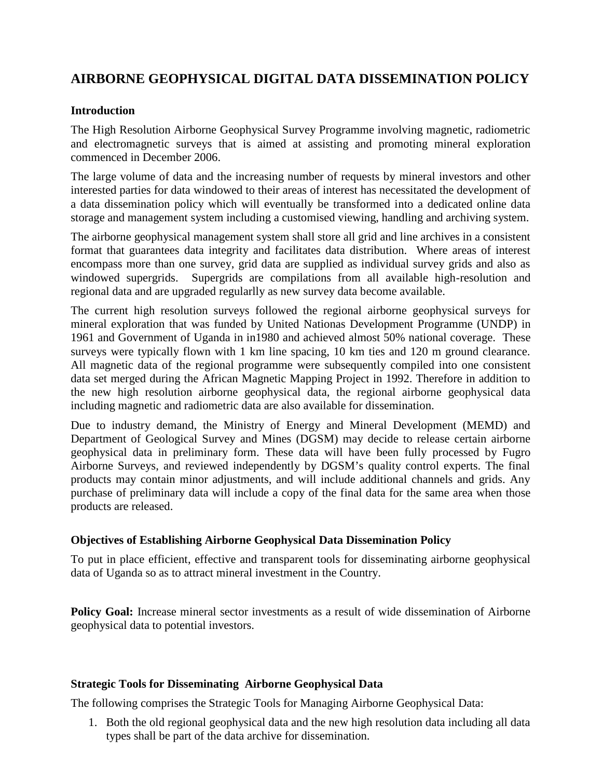### **AIRBORNE GEOPHYSICAL DIGITAL DATA DISSEMINATION POLICY**

### **Introduction**

The High Resolution Airborne Geophysical Survey Programme involving magnetic, radiometric and electromagnetic surveys that is aimed at assisting and promoting mineral exploration commenced in December 2006.

The large volume of data and the increasing number of requests by mineral investors and other interested parties for data windowed to their areas of interest has necessitated the development of a data dissemination policy which will eventually be transformed into a dedicated online data storage and management system including a customised viewing, handling and archiving system.

The airborne geophysical management system shall store all grid and line archives in a consistent format that guarantees data integrity and facilitates data distribution. Where areas of interest encompass more than one survey, grid data are supplied as individual survey grids and also as windowed supergrids. Supergrids are compilations from all available high-resolution and regional data and are upgraded regularlly as new survey data become available.

The current high resolution surveys followed the regional airborne geophysical surveys for mineral exploration that was funded by United Nationas Development Programme (UNDP) in 1961 and Government of Uganda in in1980 and achieved almost 50% national coverage. These surveys were typically flown with 1 km line spacing, 10 km ties and 120 m ground clearance. All magnetic data of the regional programme were subsequently compiled into one consistent data set merged during the African Magnetic Mapping Project in 1992. Therefore in addition to the new high resolution airborne geophysical data, the regional airborne geophysical data including magnetic and radiometric data are also available for dissemination.

Due to industry demand, the Ministry of Energy and Mineral Development (MEMD) and Department of Geological Survey and Mines (DGSM) may decide to release certain airborne geophysical data in preliminary form. These data will have been fully processed by Fugro Airborne Surveys, and reviewed independently by DGSM's quality control experts. The final products may contain minor adjustments, and will include additional channels and grids. Any purchase of preliminary data will include a copy of the final data for the same area when those products are released.

### **Objectives of Establishing Airborne Geophysical Data Dissemination Policy**

To put in place efficient, effective and transparent tools for disseminating airborne geophysical data of Uganda so as to attract mineral investment in the Country.

**Policy Goal:** Increase mineral sector investments as a result of wide dissemination of Airborne geophysical data to potential investors.

### **Strategic Tools for Disseminating Airborne Geophysical Data**

The following comprises the Strategic Tools for Managing Airborne Geophysical Data:

1. Both the old regional geophysical data and the new high resolution data including all data types shall be part of the data archive for dissemination.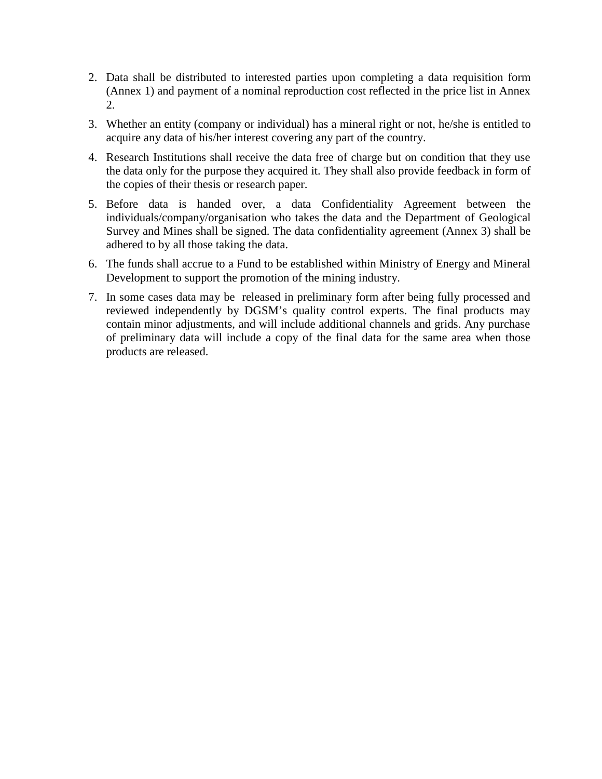- 2. Data shall be distributed to interested parties upon completing a data requisition form (Annex 1) and payment of a nominal reproduction cost reflected in the price list in Annex 2.
- 3. Whether an entity (company or individual) has a mineral right or not, he/she is entitled to acquire any data of his/her interest covering any part of the country.
- 4. Research Institutions shall receive the data free of charge but on condition that they use the data only for the purpose they acquired it. They shall also provide feedback in form of the copies of their thesis or research paper.
- 5. Before data is handed over, a data Confidentiality Agreement between the individuals/company/organisation who takes the data and the Department of Geological Survey and Mines shall be signed. The data confidentiality agreement (Annex 3) shall be adhered to by all those taking the data.
- 6. The funds shall accrue to a Fund to be established within Ministry of Energy and Mineral Development to support the promotion of the mining industry.
- 7. In some cases data may be released in preliminary form after being fully processed and reviewed independently by DGSM's quality control experts. The final products may contain minor adjustments, and will include additional channels and grids. Any purchase of preliminary data will include a copy of the final data for the same area when those products are released.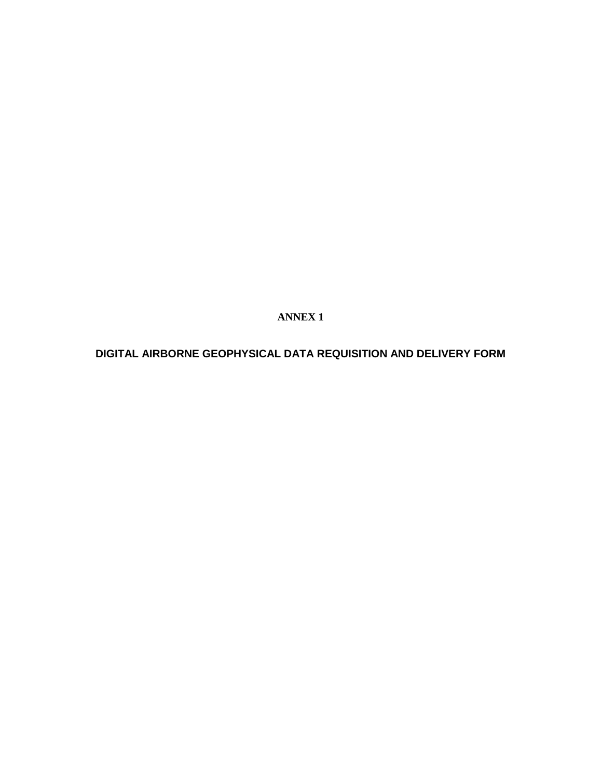**ANNEX 1**

**DIGITAL AIRBORNE GEOPHYSICAL DATA REQUISITION AND DELIVERY FORM**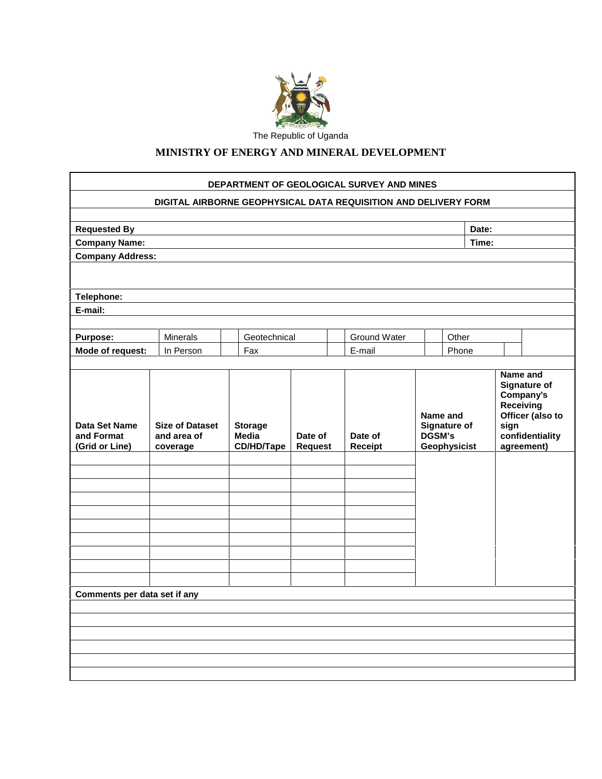

### **MINISTRY OF ENERGY AND MINERAL DEVELOPMENT**

|                                               | DIGITAL AIRBORNE GEOPHYSICAL DATA REQUISITION AND DELIVERY FORM |                                       |                           |                    |       |                                                           |                                                                                                            |
|-----------------------------------------------|-----------------------------------------------------------------|---------------------------------------|---------------------------|--------------------|-------|-----------------------------------------------------------|------------------------------------------------------------------------------------------------------------|
| <b>Requested By</b>                           |                                                                 |                                       |                           |                    | Date: |                                                           |                                                                                                            |
| <b>Company Name:</b>                          |                                                                 |                                       |                           |                    |       | Time:                                                     |                                                                                                            |
| <b>Company Address:</b>                       |                                                                 |                                       |                           |                    |       |                                                           |                                                                                                            |
|                                               |                                                                 |                                       |                           |                    |       |                                                           |                                                                                                            |
| Telephone:                                    |                                                                 |                                       |                           |                    |       |                                                           |                                                                                                            |
| E-mail:                                       |                                                                 |                                       |                           |                    |       |                                                           |                                                                                                            |
| <b>Purpose:</b>                               | <b>Minerals</b>                                                 | Geotechnical                          |                           | Ground Water       |       | Other                                                     |                                                                                                            |
| Mode of request:                              | In Person                                                       | Fax                                   |                           | E-mail             |       | Phone                                                     |                                                                                                            |
|                                               |                                                                 |                                       |                           |                    |       |                                                           |                                                                                                            |
| Data Set Name<br>and Format<br>(Grid or Line) | <b>Size of Dataset</b><br>and area of<br>coverage               | <b>Storage</b><br>Media<br>CD/HD/Tape | Date of<br><b>Request</b> | Date of<br>Receipt |       | Name and<br><b>Signature of</b><br>DGSM's<br>Geophysicist | <b>Signature of</b><br>Company's<br>Receiving<br>Officer (also to<br>sign<br>confidentiality<br>agreement) |
| Comments per data set if any                  |                                                                 |                                       |                           |                    |       |                                                           |                                                                                                            |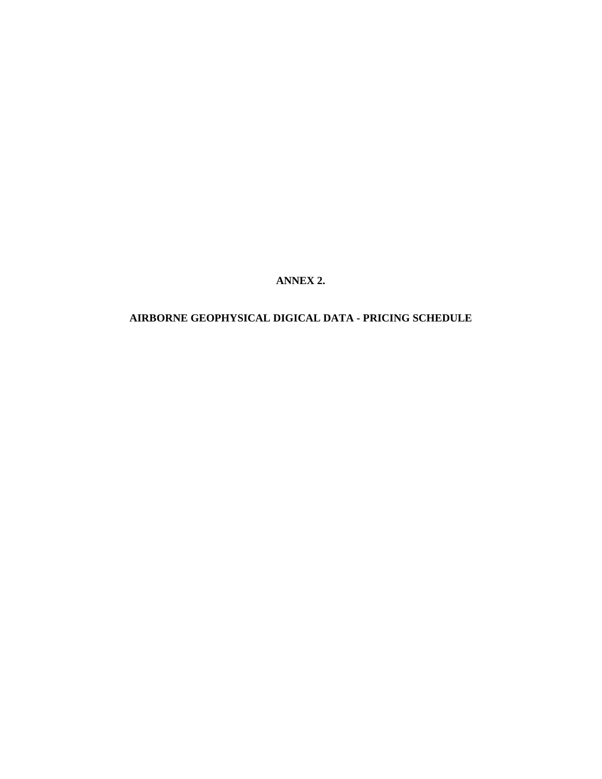**ANNEX 2.**

### **AIRBORNE GEOPHYSICAL DIGICAL DATA - PRICING SCHEDULE**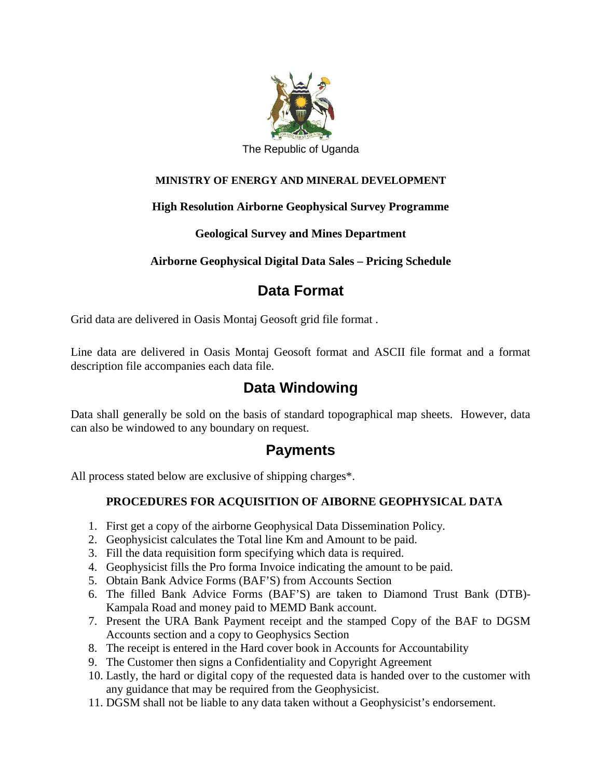

### **MINISTRY OF ENERGY AND MINERAL DEVELOPMENT**

### **High Resolution Airborne Geophysical Survey Programme**

### **Geological Survey and Mines Department**

### **Airborne Geophysical Digital Data Sales – Pricing Schedule**

# **Data Format**

Grid data are delivered in Oasis Montaj Geosoft grid file format .

Line data are delivered in Oasis Montaj Geosoft format and ASCII file format and a format description file accompanies each data file.

# **Data Windowing**

Data shall generally be sold on the basis of standard topographical map sheets. However, data can also be windowed to any boundary on request.

### **Payments**

All process stated below are exclusive of shipping charges\*.

### **PROCEDURES FOR ACQUISITION OF AIBORNE GEOPHYSICAL DATA**

- 1. First get a copy of the airborne Geophysical Data Dissemination Policy.
- 2. Geophysicist calculates the Total line Km and Amount to be paid.
- 3. Fill the data requisition form specifying which data is required.
- 4. Geophysicist fills the Pro forma Invoice indicating the amount to be paid.
- 5. Obtain Bank Advice Forms (BAF'S) from Accounts Section
- 6. The filled Bank Advice Forms (BAF'S) are taken to Diamond Trust Bank (DTB)- Kampala Road and money paid to MEMD Bank account.
- 7. Present the URA Bank Payment receipt and the stamped Copy of the BAF to DGSM Accounts section and a copy to Geophysics Section
- 8. The receipt is entered in the Hard cover book in Accounts for Accountability
- 9. The Customer then signs a Confidentiality and Copyright Agreement
- 10. Lastly, the hard or digital copy of the requested data is handed over to the customer with any guidance that may be required from the Geophysicist.
- 11. DGSM shall not be liable to any data taken without a Geophysicist's endorsement.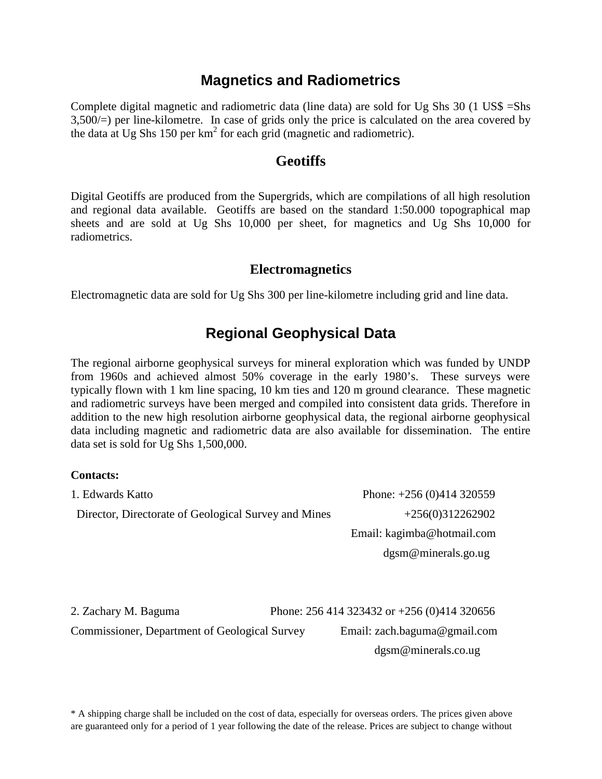# **Magnetics and Radiometrics**

Complete digital magnetic and radiometric data (line data) are sold for Ug Shs 30 (1 US\$ =Shs 3,500/=) per line-kilometre. In case of grids only the price is calculated on the area covered by the data at Ug Shs 150 per  $km^2$  for each grid (magnetic and radiometric).

### **Geotiffs**

Digital Geotiffs are produced from the Supergrids, which are compilations of all high resolution and regional data available. Geotiffs are based on the standard 1:50.000 topographical map sheets and are sold at Ug Shs 10,000 per sheet, for magnetics and Ug Shs 10,000 for radiometrics.

### **Electromagnetics**

Electromagnetic data are sold for Ug Shs 300 per line-kilometre including grid and line data.

### **Regional Geophysical Data**

The regional airborne geophysical surveys for mineral exploration which was funded by UNDP from 1960s and achieved almost 50% coverage in the early 1980's. These surveys were typically flown with 1 km line spacing, 10 km ties and 120 m ground clearance. These magnetic and radiometric surveys have been merged and compiled into consistent data grids. Therefore in addition to the new high resolution airborne geophysical data, the regional airborne geophysical data including magnetic and radiometric data are also available for dissemination. The entire data set is sold for Ug Shs 1,500,000.

#### **Contacts:**

| 1. Edwards Katto                                     | Phone: $+256(0)414320559$                           |
|------------------------------------------------------|-----------------------------------------------------|
| Director, Directorate of Geological Survey and Mines | $+256(0)312262902$                                  |
|                                                      | Email: kagimba@hotmail.com                          |
|                                                      | $d$ gsm@minerals.go.ug                              |
|                                                      |                                                     |
|                                                      |                                                     |
| 2. Zachary M. Baguma                                 | Phone: $256\,414\,323432$ or $+256\,(0)414\,320656$ |

Commissioner, Department of Geological Survey Email: zach.baguma@gmail.com

dgsm@minerals.co.ug

\* A shipping charge shall be included on the cost of data, especially for overseas orders. The prices given above are guaranteed only for a period of 1 year following the date of the release. Prices are subject to change without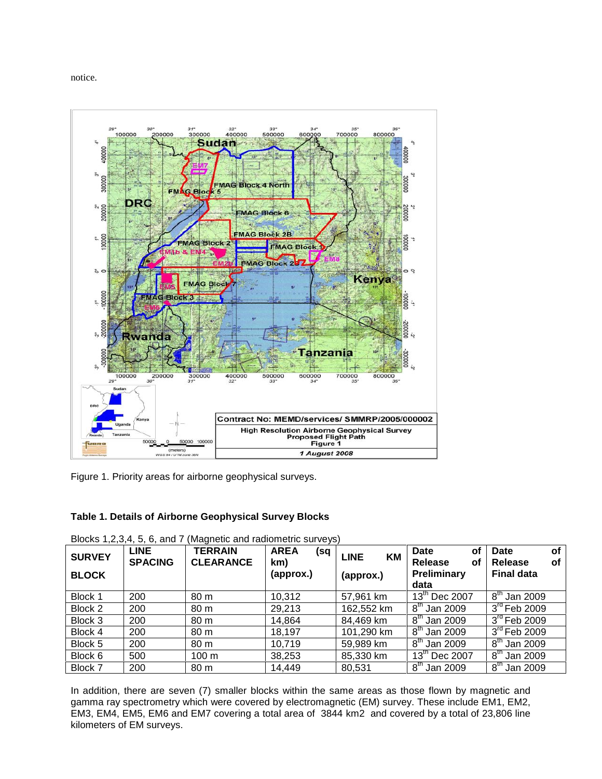notice.



Figure 1. Priority areas for airborne geophysical surveys.

#### **Table 1. Details of Airborne Geophysical Survey Blocks**

| <b>SURVEY</b><br><b>BLOCK</b> | <b>LINE</b><br><b>SPACING</b> | <b>TERRAIN</b><br><b>CLEARANCE</b> | <b>AREA</b><br>(sq<br>km)<br>(approx.) | <b>LINE</b><br>KM<br>(approx.) | Date<br>οf<br>Release<br>οf<br>Preliminary<br>data | οf<br><b>Date</b><br>Release<br>οf<br><b>Final data</b> |
|-------------------------------|-------------------------------|------------------------------------|----------------------------------------|--------------------------------|----------------------------------------------------|---------------------------------------------------------|
| Block 1                       | 200                           | 80 m                               | 10,312                                 | 57,961 km                      | $13th$ Dec 2007                                    | $8^{\text{th}}$ Jan 2009                                |
| Block 2                       | 200                           | 80 m                               | 29,213                                 | 162,552 km                     | $8^{\text{th}}$<br>' Jan 2009                      | $3rd$ Feb 2009                                          |
| Block 3                       | 200                           | 80 <sub>m</sub>                    | 14,864                                 | 84,469 km                      | $8^{\text{th}}$<br>Jan 2009                        | $3rd$ Feb 2009                                          |
| Block 4                       | 200                           | 80 m                               | 18,197                                 | 101,290 km                     | $8^{\text{th}}$<br>Jan 2009                        | $3rd$ Feb 2009                                          |
| Block 5                       | 200                           | 80 m                               | 10,719                                 | 59,989 km                      | $8^{\text{th}}$<br>Jan 2009                        | $8th$ Jan 2009                                          |
| Block 6                       | 500                           | 100 m                              | 38,253                                 | 85,330 km                      | 13 <sup>th</sup> Dec 2007                          | $8th$ Jan 2009                                          |
| Block 7                       | 200                           | 80 m                               | 14,449                                 | 80,531                         | $8th$ Jan 2009                                     | $8th$ Jan 2009                                          |

Blocks 1,2,3,4, 5, 6, and 7 (Magnetic and radiometric surveys)

In addition, there are seven (7) smaller blocks within the same areas as those flown by magnetic and gamma ray spectrometry which were covered by electromagnetic (EM) survey. These include EM1, EM2, EM3, EM4, EM5, EM6 and EM7 covering a total area of 3844 km2 and covered by a total of 23,806 line kilometers of EM surveys.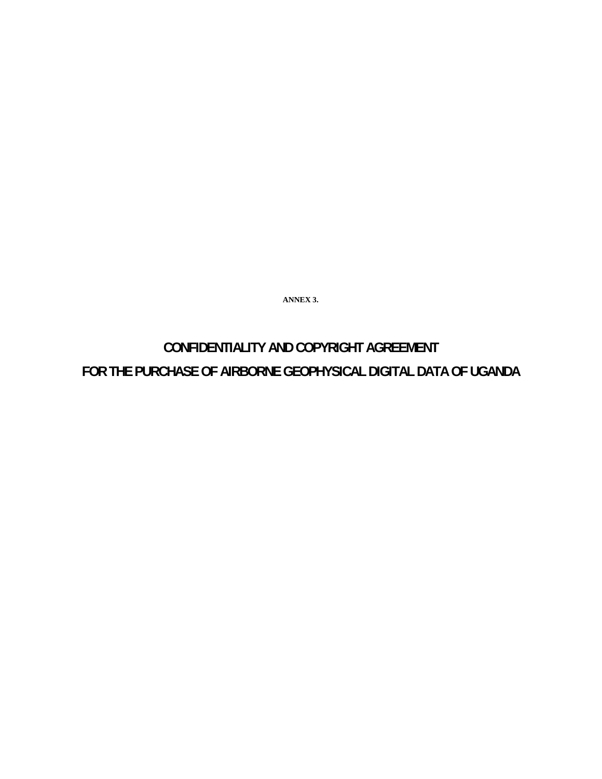**ANNEX 3.**

# **CONFIDENTIALITY AND COPYRIGHT AGREEMENT FOR THE PURCHASE OF AIRBORNE GEOPHYSICAL DIGITAL DATA OF UGANDA**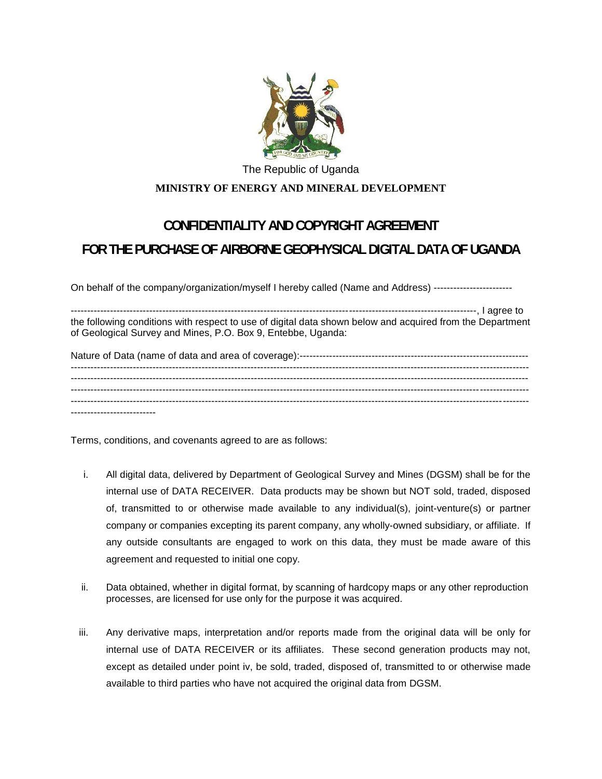

### The Republic of Uganda **MINISTRY OF ENERGY AND MINERAL DEVELOPMENT**

# **CONFIDENTIALITY AND COPYRIGHT AGREEMENT FOR THE PURCHASE OF AIRBORNE GEOPHYSICAL DIGITAL DATA OF UGANDA**

On behalf of the company/organization/myself I hereby called (Name and Address) -----------------------------

----------------------------------------------------------------------------------------------------------------------------, I agree to the following conditions with respect to use of digital data shown below and acquired from the Department of Geological Survey and Mines, P.O. Box 9, Entebbe, Uganda:

Terms, conditions, and covenants agreed to are as follows:

- i. All digital data, delivered by Department of Geological Survey and Mines (DGSM) shall be for the internal use of DATA RECEIVER. Data products may be shown but NOT sold, traded, disposed of, transmitted to or otherwise made available to any individual(s), joint-venture(s) or partner company or companies excepting its parent company, any wholly-owned subsidiary, or affiliate. If any outside consultants are engaged to work on this data, they must be made aware of this agreement and requested to initial one copy.
- ii. Data obtained, whether in digital format, by scanning of hardcopy maps or any other reproduction processes, are licensed for use only for the purpose it was acquired.
- iii. Any derivative maps, interpretation and/or reports made from the original data will be only for internal use of DATA RECEIVER or its affiliates. These second generation products may not, except as detailed under point iv, be sold, traded, disposed of, transmitted to or otherwise made available to third parties who have not acquired the original data from DGSM.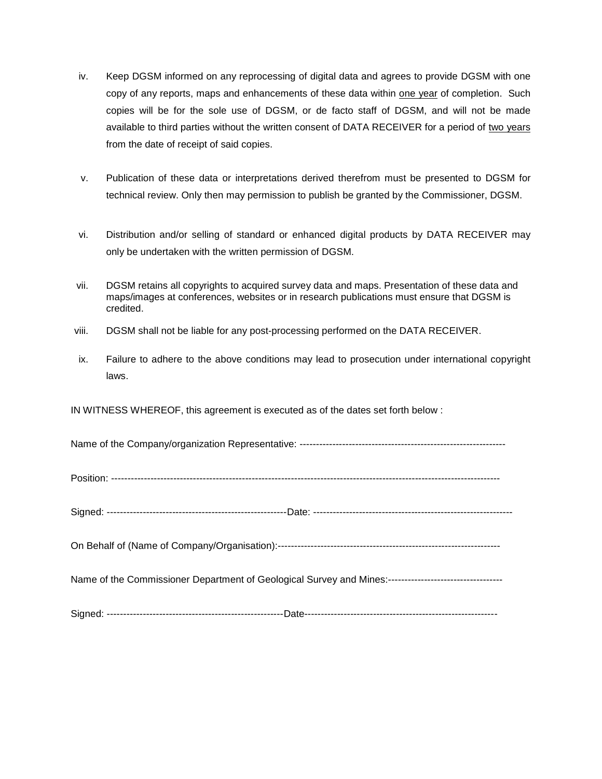- iv. Keep DGSM informed on any reprocessing of digital data and agrees to provide DGSM with one copy of any reports, maps and enhancements of these data within one year of completion. Such copies will be for the sole use of DGSM, or de facto staff of DGSM, and will not be made available to third parties without the written consent of DATA RECEIVER for a period of two years from the date of receipt of said copies.
- v. Publication of these data or interpretations derived therefrom must be presented to DGSM for technical review. Only then may permission to publish be granted by the Commissioner, DGSM.
- vi. Distribution and/or selling of standard or enhanced digital products by DATA RECEIVER may only be undertaken with the written permission of DGSM.
- vii. DGSM retains all copyrights to acquired survey data and maps. Presentation of these data and maps/images at conferences, websites or in research publications must ensure that DGSM is credited.
- viii. DGSM shall not be liable for any post-processing performed on the DATA RECEIVER.
- ix. Failure to adhere to the above conditions may lead to prosecution under international copyright laws.

IN WITNESS WHEREOF, this agreement is executed as of the dates set forth below :

Name of the Company/organization Representative: ---------------------------------------------------------------

Position: -----------------------------------------------------------------------------------------------------------------------

Signed: -------------------------------------------------------Date: -------------------------------------------------------------

On Behalf of (Name of Company/Organisation):--------------------------------------------------------------------

Name of the Commissioner Department of Geological Survey and Mines:-----------------------------------

Signed: ------------------------------------------------------Date-----------------------------------------------------------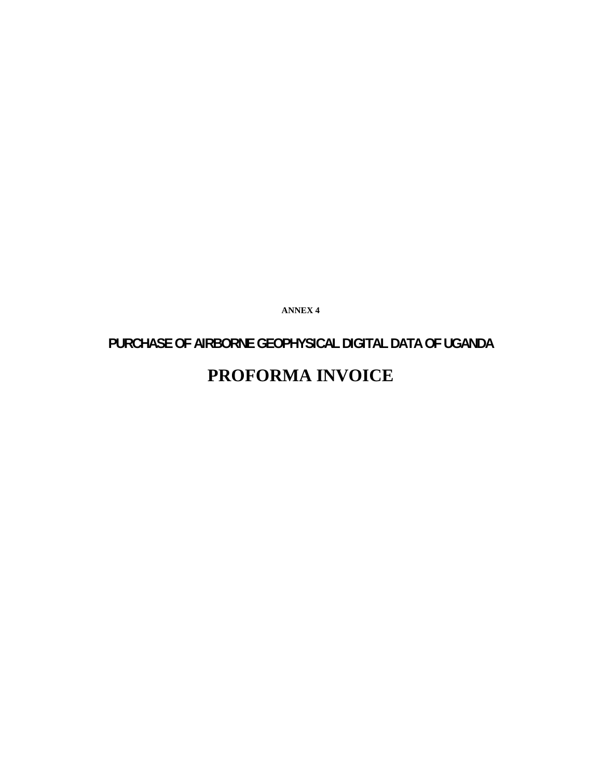**ANNEX 4**

# **PURCHASE OF AIRBORNE GEOPHYSICAL DIGITAL DATA OF UGANDA PROFORMA INVOICE**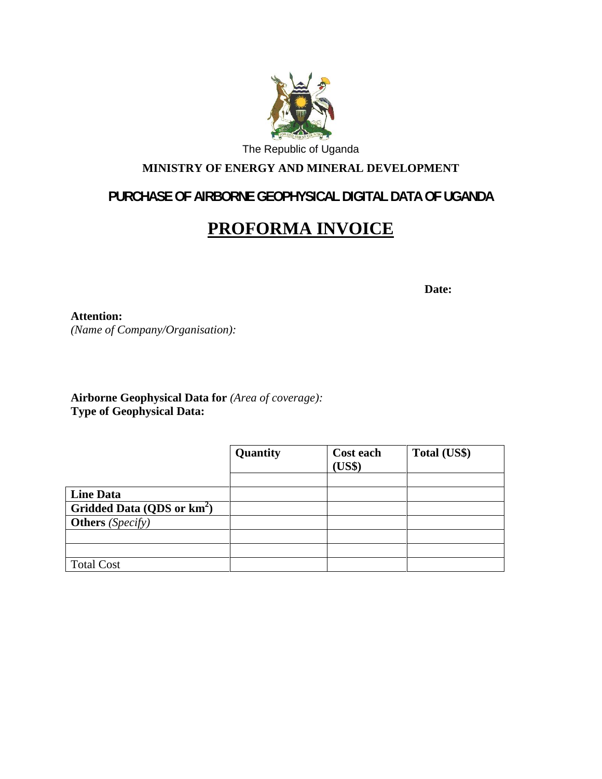

### **MINISTRY OF ENERGY AND MINERAL DEVELOPMENT**

### **PURCHASE OF AIRBORNE GEOPHYSICAL DIGITAL DATA OF UGANDA**

# **PROFORMA INVOICE**

**Date:**

**Attention:** *(Name of Company/Organisation):*

**Airborne Geophysical Data for** *(Area of coverage):* **Type of Geophysical Data:**

|                                        | Quantity | <b>Cost each</b><br>(US\$) | Total (US\$) |
|----------------------------------------|----------|----------------------------|--------------|
| <b>Line Data</b>                       |          |                            |              |
| Gridded Data (QDS or km <sup>2</sup> ) |          |                            |              |
| <b>Others</b> ( <i>Specify</i> )       |          |                            |              |
|                                        |          |                            |              |
|                                        |          |                            |              |
| <b>Total Cost</b>                      |          |                            |              |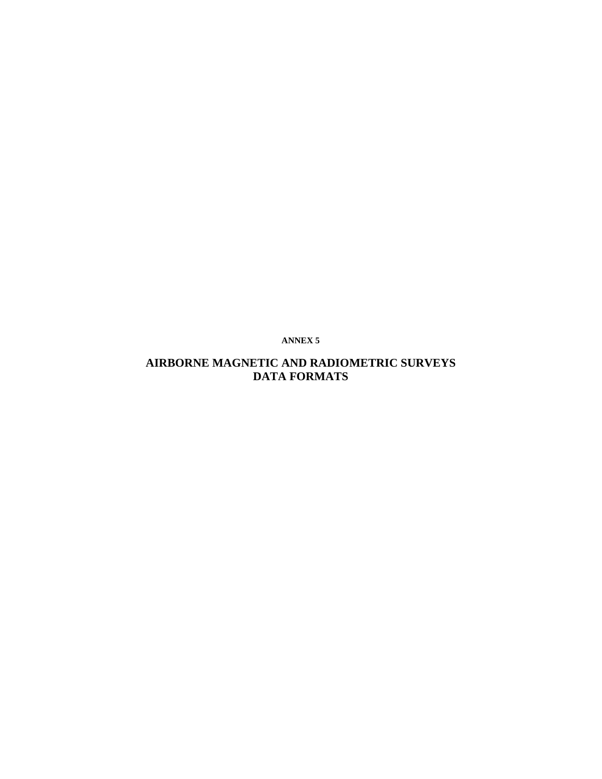**ANNEX 5**

### **AIRBORNE MAGNETIC AND RADIOMETRIC SURVEYS DATA FORMATS**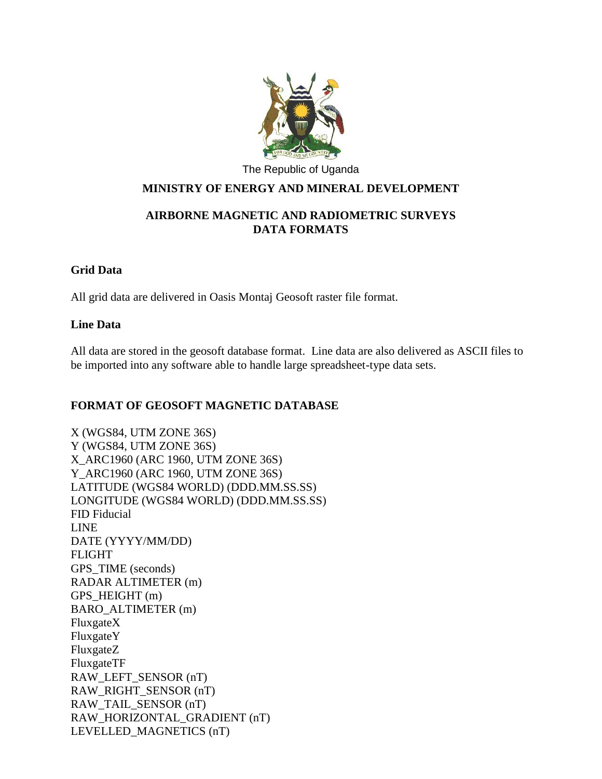

### **MINISTRY OF ENERGY AND MINERAL DEVELOPMENT**

### **AIRBORNE MAGNETIC AND RADIOMETRIC SURVEYS DATA FORMATS**

### **Grid Data**

All grid data are delivered in Oasis Montaj Geosoft raster file format.

### **Line Data**

All data are stored in the geosoft database format. Line data are also delivered as ASCII files to be imported into any software able to handle large spreadsheet-type data sets.

### **FORMAT OF GEOSOFT MAGNETIC DATABASE**

X (WGS84, UTM ZONE 36S) Y (WGS84, UTM ZONE 36S) X\_ARC1960 (ARC 1960, UTM ZONE 36S) Y\_ARC1960 (ARC 1960, UTM ZONE 36S) LATITUDE (WGS84 WORLD) (DDD.MM.SS.SS) LONGITUDE (WGS84 WORLD) (DDD.MM.SS.SS) FID Fiducial LINE DATE (YYYY/MM/DD) FLIGHT GPS TIME (seconds) RADAR ALTIMETER (m) GPS\_HEIGHT (m) BARO\_ALTIMETER (m) FluxgateX FluxgateY FluxgateZ FluxgateTF RAW\_LEFT\_SENSOR (nT) RAW\_RIGHT\_SENSOR (nT) RAW\_TAIL\_SENSOR (nT) RAW\_HORIZONTAL\_GRADIENT (nT) LEVELLED\_MAGNETICS (nT)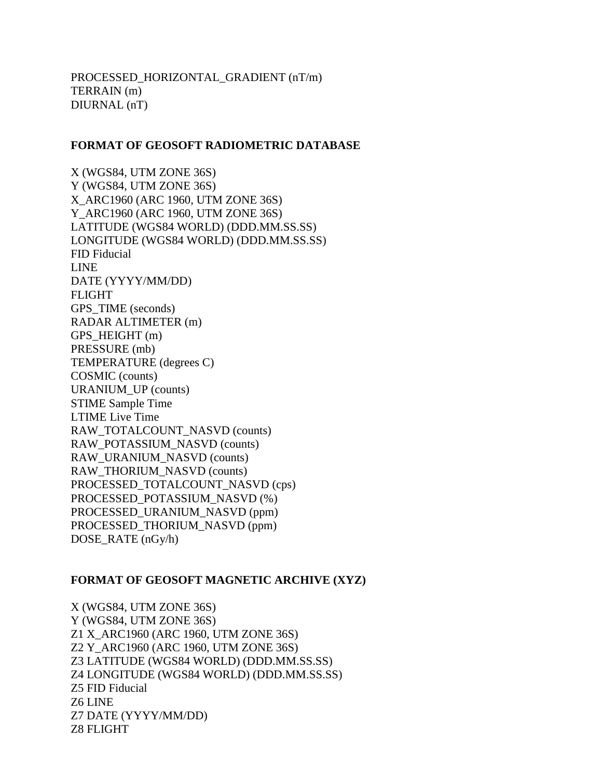### **FORMAT OF GEOSOFT RADIOMETRIC DATABASE**

X (WGS84, UTM ZONE 36S) Y (WGS84, UTM ZONE 36S) X\_ARC1960 (ARC 1960, UTM ZONE 36S) Y\_ARC1960 (ARC 1960, UTM ZONE 36S) LATITUDE (WGS84 WORLD) (DDD.MM.SS.SS) LONGITUDE (WGS84 WORLD) (DDD.MM.SS.SS) FID Fiducial LINE DATE (YYYY/MM/DD) FLIGHT GPS\_TIME (seconds) RADAR ALTIMETER (m) GPS\_HEIGHT (m) PRESSURE (mb) TEMPERATURE (degrees C) COSMIC (counts) URANIUM\_UP (counts) STIME Sample Time LTIME Live Time RAW\_TOTALCOUNT\_NASVD (counts) RAW\_POTASSIUM\_NASVD (counts) RAW\_URANIUM\_NASVD (counts) RAW\_THORIUM\_NASVD (counts) PROCESSED\_TOTALCOUNT\_NASVD (cps) PROCESSED\_POTASSIUM\_NASVD (%) PROCESSED\_URANIUM\_NASVD (ppm) PROCESSED\_THORIUM\_NASVD (ppm) DOSE\_RATE (nGy/h)

### **FORMAT OF GEOSOFT MAGNETIC ARCHIVE (XYZ)**

X (WGS84, UTM ZONE 36S) Y (WGS84, UTM ZONE 36S) Z1 X\_ARC1960 (ARC 1960, UTM ZONE 36S) Z2 Y\_ARC1960 (ARC 1960, UTM ZONE 36S) Z3 LATITUDE (WGS84 WORLD) (DDD.MM.SS.SS) Z4 LONGITUDE (WGS84 WORLD) (DDD.MM.SS.SS) Z5 FID Fiducial Z6 LINE Z7 DATE (YYYY/MM/DD) Z8 FLIGHT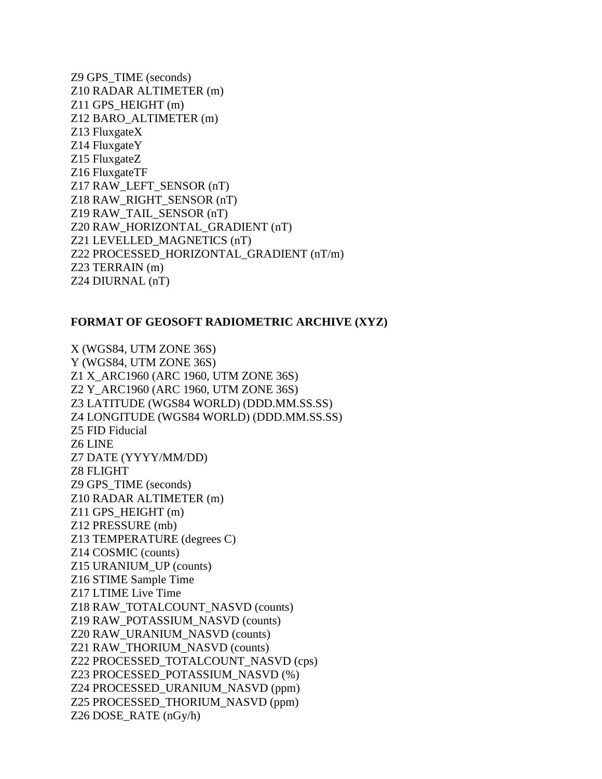Z9 GPS\_TIME (seconds) Z10 RADAR ALTIMETER (m) Z11 GPS\_HEIGHT (m) Z12 BARO\_ALTIMETER (m) Z13 FluxgateX Z14 FluxgateY Z15 FluxgateZ Z16 FluxgateTF Z17 RAW\_LEFT\_SENSOR (nT) Z18 RAW\_RIGHT\_SENSOR (nT) Z19 RAW\_TAIL\_SENSOR (nT) Z20 RAW\_HORIZONTAL\_GRADIENT (nT) Z21 LEVELLED\_MAGNETICS (nT) Z22 PROCESSED\_HORIZONTAL\_GRADIENT (nT/m) Z23 TERRAIN (m) Z24 DIURNAL (nT)

### **FORMAT OF GEOSOFT RADIOMETRIC ARCHIVE (XYZ)**

X (WGS84, UTM ZONE 36S) Y (WGS84, UTM ZONE 36S) Z1 X\_ARC1960 (ARC 1960, UTM ZONE 36S) Z2 Y\_ARC1960 (ARC 1960, UTM ZONE 36S) Z3 LATITUDE (WGS84 WORLD) (DDD.MM.SS.SS) Z4 LONGITUDE (WGS84 WORLD) (DDD.MM.SS.SS) Z5 FID Fiducial Z6 LINE Z7 DATE (YYYY/MM/DD) Z8 FLIGHT Z9 GPS\_TIME (seconds) Z10 RADAR ALTIMETER (m) Z11 GPS\_HEIGHT (m) Z12 PRESSURE (mb) Z13 TEMPERATURE (degrees C) Z14 COSMIC (counts) Z15 URANIUM\_UP (counts) Z16 STIME Sample Time Z17 LTIME Live Time Z18 RAW\_TOTALCOUNT\_NASVD (counts) Z19 RAW\_POTASSIUM\_NASVD (counts) Z20 RAW\_URANIUM\_NASVD (counts) Z21 RAW\_THORIUM\_NASVD (counts) Z22 PROCESSED\_TOTALCOUNT\_NASVD (cps) Z23 PROCESSED\_POTASSIUM\_NASVD (%) Z24 PROCESSED\_URANIUM\_NASVD (ppm) Z25 PROCESSED\_THORIUM\_NASVD (ppm) Z26 DOSE RATE  $(nGy/h)$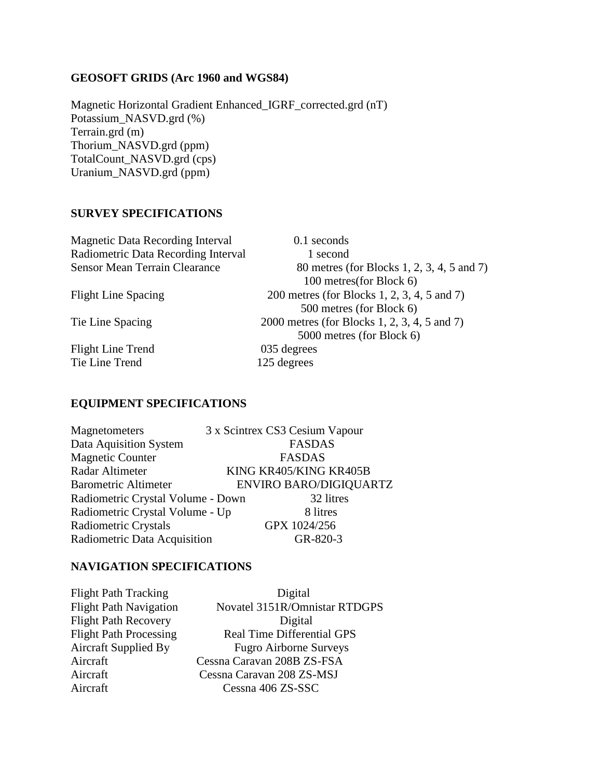### **GEOSOFT GRIDS (Arc 1960 and WGS84)**

Magnetic Horizontal Gradient Enhanced\_IGRF\_corrected.grd (nT) Potassium\_NASVD.grd (%) Terrain.grd (m) Thorium\_NASVD.grd (ppm) TotalCount\_NASVD.grd (cps) Uranium\_NASVD.grd (ppm)

### **SURVEY SPECIFICATIONS**

| <b>Magnetic Data Recording Interval</b> | 0.1 seconds                                  |
|-----------------------------------------|----------------------------------------------|
| Radiometric Data Recording Interval     | 1 second                                     |
| <b>Sensor Mean Terrain Clearance</b>    | 80 metres (for Blocks 1, 2, 3, 4, 5 and 7)   |
|                                         | 100 metres(for Block 6)                      |
| <b>Flight Line Spacing</b>              | 200 metres (for Blocks 1, 2, 3, 4, 5 and 7)  |
|                                         | 500 metres (for Block 6)                     |
| Tie Line Spacing                        | 2000 metres (for Blocks 1, 2, 3, 4, 5 and 7) |
|                                         | 5000 metres (for Block 6)                    |
| Flight Line Trend                       | 035 degrees                                  |
| Tie Line Trend                          | 125 degrees                                  |
|                                         |                                              |

### **EQUIPMENT SPECIFICATIONS**

| Magnetometers                     | 3 x Scintrex CS3 Cesium Vapour |  |
|-----------------------------------|--------------------------------|--|
| Data Aquisition System            | <b>FASDAS</b>                  |  |
| <b>Magnetic Counter</b>           | <b>FASDAS</b>                  |  |
| Radar Altimeter                   | KING KR405/KING KR405B         |  |
| <b>Barometric Altimeter</b>       | <b>ENVIRO BARO/DIGIQUARTZ</b>  |  |
| Radiometric Crystal Volume - Down | 32 litres                      |  |
| Radiometric Crystal Volume - Up   | 8 litres                       |  |
| <b>Radiometric Crystals</b>       | GPX 1024/256                   |  |
| Radiometric Data Acquisition      | GR-820-3                       |  |

#### **NAVIGATION SPECIFICATIONS**

Flight Path Tracking Digital

Flight Path Navigation Novatel 3151R/Omnistar RTDGPS Flight Path Recovery<br>Flight Path Processing<br>Real Time Differen Real Time Differential GPS Aircraft Supplied By Fugro Airborne Surveys Aircraft Cessna Caravan 208B ZS-FSA Aircraft Cessna Caravan 208 ZS-MSJ Aircraft Cessna 406 ZS-SSC